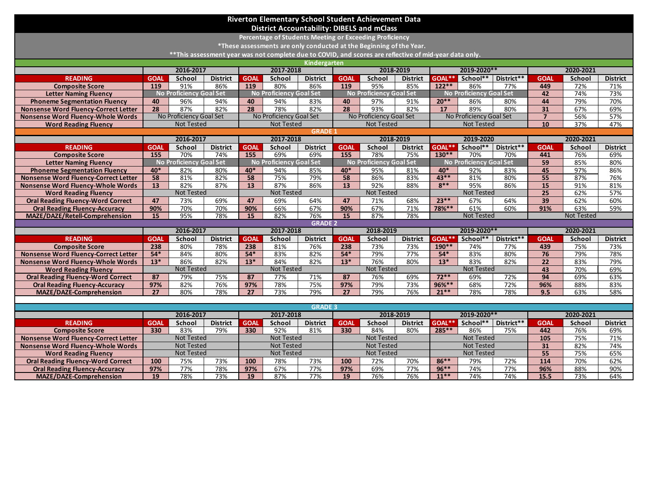| Riverton Elementary School Student Achievement Data                                                     |                                        |                                                    |                   |                                        |                                          |                 |                                       |                                |                                          |                                        |                                |            |                 |                   |                 |
|---------------------------------------------------------------------------------------------------------|----------------------------------------|----------------------------------------------------|-------------------|----------------------------------------|------------------------------------------|-----------------|---------------------------------------|--------------------------------|------------------------------------------|----------------------------------------|--------------------------------|------------|-----------------|-------------------|-----------------|
| <b>District Accountability: DIBELS and mClass</b>                                                       |                                        |                                                    |                   |                                        |                                          |                 |                                       |                                |                                          |                                        |                                |            |                 |                   |                 |
| Percentage of Students Meeting or Exceeding Proficiency                                                 |                                        |                                                    |                   |                                        |                                          |                 |                                       |                                |                                          |                                        |                                |            |                 |                   |                 |
| *These assessments are only conducted at the Beginning of the Year.                                     |                                        |                                                    |                   |                                        |                                          |                 |                                       |                                |                                          |                                        |                                |            |                 |                   |                 |
| ** This assessment year was not complete due to COVID, and scores are reflective of mid-year data only. |                                        |                                                    |                   |                                        |                                          |                 |                                       |                                |                                          |                                        |                                |            |                 |                   |                 |
| <b>Kindergarten</b>                                                                                     |                                        |                                                    |                   |                                        |                                          |                 |                                       |                                |                                          |                                        |                                |            |                 |                   |                 |
|                                                                                                         |                                        | 2016-2017                                          |                   | 2017-2018                              |                                          | 2018-2019       |                                       | 2019-2020**                    |                                          | 2020-2021                              |                                |            |                 |                   |                 |
| <b>READING</b>                                                                                          | <b>GOAL</b>                            | School                                             | <b>District</b>   | <b>GOAL</b>                            | School                                   | <b>District</b> | <b>GOAL</b>                           | School                         | <b>District</b>                          | GOAL**                                 | School**                       | District** | <b>GOAI</b>     | School            | <b>District</b> |
| <b>Composite Score</b>                                                                                  | 119                                    | 91%                                                | 86%               | 119                                    | 80%                                      | 86%             | 119                                   | 95%                            | 85%                                      | $122***$                               | 86%                            | 77%        | 449             | 72%               | 71%             |
| <b>Letter Naming Fluency</b>                                                                            |                                        | <b>No Proficiency Goal Set</b>                     |                   |                                        | <b>No Proficiency Goal Set</b>           |                 |                                       | <b>No Proficiency Goal Set</b> |                                          |                                        | No Proficiency Goal Set        |            | 42              | 74%               | 73%             |
| <b>Phoneme Segmentation Fluency</b>                                                                     | 40                                     | 96%                                                | 94%               | 40                                     | 94%                                      | 83%             | 40                                    | 97%                            | 91%                                      | $20**$                                 | 86%                            | 80%        | 44              | 79%               | 70%             |
| <b>Nonsense Word Fluency-Correct Letter</b>                                                             | 28                                     | 87%                                                | 82%               | 28                                     | 78%                                      | 82%             | $\overline{28}$                       | 93%                            | 82%                                      | 17                                     | 89%                            | 80%        | $\overline{31}$ | 67%               | 69%             |
| <b>Nonsense Word Fluency-Whole Words</b>                                                                |                                        | No Proficiency Goal Set                            |                   |                                        | No Proficiency Goal Set                  |                 |                                       | No Proficiency Goal Set        |                                          |                                        | No Proficiency Goal Set        |            | $\overline{7}$  | 56%               | 57%             |
| <b>Word Reading Fluency</b>                                                                             |                                        | <b>Not Tested</b>                                  |                   |                                        | <b>Not Tested</b>                        |                 |                                       | <b>Not Tested</b>              |                                          |                                        | <b>Not Tested</b>              |            | 10              | 37%               | 47%             |
| <b>GRADE</b>                                                                                            |                                        |                                                    |                   |                                        |                                          |                 |                                       |                                |                                          |                                        |                                |            |                 |                   |                 |
|                                                                                                         |                                        | 2016-2017                                          |                   |                                        | 2017-2018                                |                 | 2018-2019                             |                                | 2019-2020                                |                                        |                                | 2020-2021  |                 |                   |                 |
| <b>READING</b>                                                                                          | <b>GOAL</b>                            | School                                             | <b>District</b>   | <b>GOAL</b>                            | School                                   | <b>District</b> | <b>GOAL</b>                           | School                         | <b>District</b>                          | GOAL**                                 | School**                       | District** | <b>GOAI</b>     | School            | <b>District</b> |
| <b>Composite Score</b>                                                                                  | 155                                    | 70%                                                | 74%               | 155                                    | 69%                                      | 69%             | 155                                   | 78%                            | 75%                                      | $130**$                                | 70%                            | 70%        | 441             | 76%               | 69%             |
| <b>Letter Naming Fluency</b>                                                                            |                                        | <b>No Proficiency Goal Set</b>                     |                   |                                        | <b>No Proficiency Goal Set</b>           |                 |                                       | <b>No Proficiency Goal Set</b> |                                          |                                        | <b>No Proficiency Goal Set</b> |            | 59              | 85%               | 80%             |
| <b>Phoneme Segmentation Fluency</b>                                                                     | $40*$                                  | 82%                                                | 80%               | $40*$                                  | 94%                                      | 85%             | $40*$                                 | 95%                            | 81%                                      | 40*                                    | 92%                            | 83%        | 45              | 97%               | 86%             |
| <b>Nonsense Word Fluency-Correct Letter</b>                                                             | 58                                     | 81%                                                | 82%               | 58                                     | 75%                                      | 79%             | 58                                    | 86%                            | 83%                                      | $43***$                                | 81%                            | 80%        | $\overline{55}$ | 87%               | 76%             |
| <b>Nonsense Word Fluency-Whole Words</b>                                                                | 13                                     | 82%                                                | 87%               | 13                                     | 87%                                      | 86%             | 13                                    | 92%                            | 88%                                      | $8**$                                  | 95%                            | 86%        | $\overline{15}$ | 91%               | 81%             |
| <b>Word Reading Fluency</b>                                                                             | <b>Not Tested</b>                      |                                                    | <b>Not Tested</b> |                                        | <b>Not Tested</b>                        |                 | <b>Not Tested</b>                     |                                | $\overline{25}$                          | 62%                                    | 57%                            |            |                 |                   |                 |
| <b>Oral Reading Fluency-Word Correct</b>                                                                | 47                                     | 73%                                                | 69%               | 47                                     | 69%                                      | 64%             | 47                                    | 71%                            | 68%                                      | $23***$                                | 67%                            | 64%        | 39              | 62%               | 60%             |
| <b>Oral Reading Fluency-Accuracy</b>                                                                    | 90%                                    | 70%                                                | 70%               | 90%                                    | 66%                                      | 67%             | 90%                                   | 67%                            | 71%                                      | 78%**                                  | 61%                            | 60%        | 91%             | 63%               | 59%             |
| MAZE/DAZE/Retell-Comprehension                                                                          | 15                                     | 95%                                                | 78%               | 15                                     | 82%                                      | 76%             | $\overline{15}$                       | 87%                            | 78%                                      |                                        | <b>Not Tested</b>              |            |                 | <b>Not Tested</b> |                 |
|                                                                                                         |                                        |                                                    |                   |                                        |                                          | <b>GRADE 2</b>  |                                       |                                |                                          |                                        |                                |            |                 |                   |                 |
|                                                                                                         |                                        | 2016-2017                                          |                   |                                        | 2017-2018                                |                 |                                       | 2018-2019                      |                                          |                                        | 2019-2020**                    |            |                 | 2020-2021         |                 |
| <b>READING</b>                                                                                          | <b>GOAL</b>                            | School                                             | <b>District</b>   | <b>GOAL</b>                            | School                                   | <b>District</b> | <b>GOAL</b>                           | School                         | <b>District</b>                          | GOAL**                                 | School**                       | District** | <b>GOAI</b>     | School            | <b>District</b> |
| <b>Composite Score</b>                                                                                  | 238                                    | 80%                                                | 78%               | 238                                    | 81%                                      | 76%             | 238                                   | 73%                            | 73%                                      | 190**                                  | 74%                            | 77%        | 439             | 75%               | 73%             |
| <b>Nonsense Word Fluency-Correct Letter</b>                                                             | $54*$                                  | 84%                                                | 80%               | $54*$                                  | 83%                                      | 82%             | $54*$                                 | 79%                            | 77%                                      | $54*$                                  | 83%                            | 80%        | 76              | 79%               | 78%             |
| <b>Nonsense Word Fluency-Whole Words</b>                                                                | $13*$                                  | 86%                                                | 82%               | $13*$                                  | 84%                                      | 82%             | $13*$                                 | 76%                            | 80%                                      | $13*$                                  | 83%                            | 82%        | $\overline{22}$ | 83%               | 79%             |
| <b>Word Reading Fluency</b>                                                                             |                                        | <b>Not Tested</b>                                  |                   |                                        | <b>Not Tested</b>                        |                 |                                       | <b>Not Tested</b>              |                                          |                                        | <b>Not Tested</b>              |            | 43              | 70%               | 69%             |
| <b>Oral Reading Fluency-Word Correct</b>                                                                | 87                                     | 79%                                                | 75%               | 87                                     | 77%                                      | 71%             | 87                                    | 76%                            | 69%                                      | $72**$                                 | 69%                            | 72%        | 94              | 69%               | 63%             |
| <b>Oral Reading Fluency-Accuracy</b>                                                                    | 97%                                    | 82%                                                | 76%               | 97%                                    | 78%                                      | 75%             | 97%                                   | 79%                            | 73%                                      | 96%**<br>$21**$                        | 68%                            | 72%        | 96%             | 88%               | 83%             |
| <b>MAZE/DAZE-Comprehension</b>                                                                          | $\overline{27}$                        | 80%                                                | 78%               | $\overline{27}$                        | 73%                                      | 79%             | $\overline{27}$                       | 79%                            | 76%                                      |                                        | 78%                            | 78%        | 9.5             | 63%               | 58%             |
|                                                                                                         |                                        |                                                    |                   |                                        |                                          |                 |                                       |                                |                                          |                                        |                                |            |                 |                   |                 |
| <b>GRADE 3</b><br>2016-2017<br>2017-2018                                                                |                                        |                                                    |                   |                                        |                                          |                 | 2019-2020**<br>2018-2019<br>2020-2021 |                                |                                          |                                        |                                |            |                 |                   |                 |
| <b>READING</b>                                                                                          | <b>GOAL</b>                            | School<br><b>District</b><br>School<br><b>GOAL</b> |                   | <b>District</b>                        | <b>District</b><br>School<br><b>GOAL</b> |                 | District**<br>GOAL**<br>School**      |                                | <b>GOAL</b><br><b>District</b><br>School |                                        |                                |            |                 |                   |                 |
|                                                                                                         | 330                                    | 83%                                                | 79%               | 330                                    | 92%                                      | 81%             |                                       | 84%                            | 80%                                      | 285**                                  | 86%                            | 75%        | 442             | 76%               | 69%             |
| <b>Composite Score</b>                                                                                  |                                        |                                                    |                   |                                        |                                          |                 | 330                                   | <b>Not Tested</b>              |                                          |                                        |                                |            |                 |                   |                 |
| <b>Nonsense Word Fluency-Correct Letter</b>                                                             | <b>Not Tested</b><br><b>Not Tested</b> |                                                    |                   | <b>Not Tested</b><br><b>Not Tested</b> |                                          |                 | <b>Not Tested</b>                     |                                |                                          | <b>Not Tested</b><br><b>Not Tested</b> |                                |            | 105             | 75%<br>82%        | 71%<br>74%      |
| Nonsense Word Fluency-Whole Words                                                                       | <b>Not Tested</b>                      |                                                    |                   | <b>Not Tested</b>                      |                                          |                 | <b>Not Tested</b>                     |                                |                                          | <b>Not Tested</b>                      |                                |            | 31              |                   |                 |
| <b>Word Reading Fluency</b>                                                                             | 100                                    | 75%                                                | 73%               | 100                                    | 78%                                      | 73%             | 100                                   | 72%                            | 70%                                      | $86***$                                | 79%                            | 72%        | 55<br>114       | 75%<br>70%        | 65%<br>62%      |
| <b>Oral Reading Fluency-Word Correct</b>                                                                | 97%                                    | 77%                                                | 78%               | 97%                                    | 67%                                      | 77%             | 97%                                   | 69%                            | 77%                                      | $96***$                                | 74%                            | 77%        | 96%             | 88%               | 90%             |
| <b>Oral Reading Fluency-Accuracy</b>                                                                    |                                        |                                                    |                   |                                        |                                          |                 |                                       |                                |                                          |                                        |                                |            |                 |                   |                 |
| MAZE/DAZE-Comprehension                                                                                 | 19                                     | 78%                                                | 73%               | 19                                     | 87%                                      | 77%             | 19                                    | 76%                            | 76%                                      | $11***$                                | 74%                            | 74%        | 15.5            | 73%               | 64%             |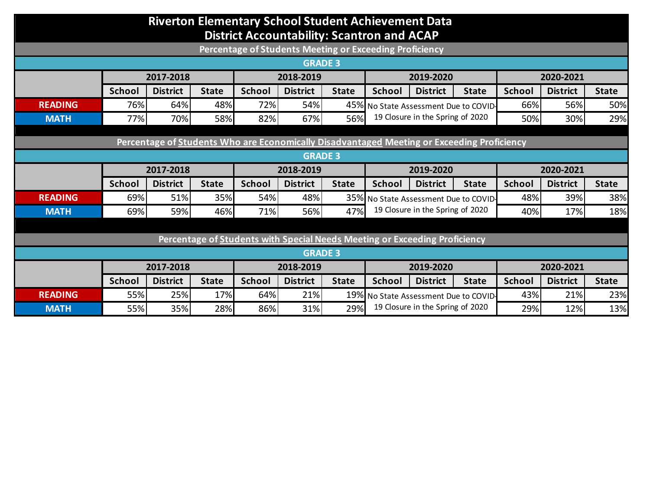## **Riverton Elementary School Student Achievement Data District Accountability: Scantron and ACAP**

| Percentage of Students Meeting or Exceeding Proficiency                                    |               |                 |              |               |                 |              |                                                                           |                 |              |               |                 |              |
|--------------------------------------------------------------------------------------------|---------------|-----------------|--------------|---------------|-----------------|--------------|---------------------------------------------------------------------------|-----------------|--------------|---------------|-----------------|--------------|
| <b>GRADE 3</b>                                                                             |               |                 |              |               |                 |              |                                                                           |                 |              |               |                 |              |
|                                                                                            |               | 2017-2018       |              | 2018-2019     |                 |              | 2019-2020                                                                 |                 |              | 2020-2021     |                 |              |
|                                                                                            | <b>School</b> | <b>District</b> | <b>State</b> | <b>School</b> | <b>District</b> | <b>State</b> | <b>School</b>                                                             | <b>District</b> | <b>State</b> | <b>School</b> | <b>District</b> | <b>State</b> |
| <b>READING</b>                                                                             | 76%           | 64%             | 48%          | 72%           | 54%             |              | 45% No State Assessment Due to COVID-<br>19 Closure in the Spring of 2020 |                 | 66%          | 56%           | 50%             |              |
| <b>MATH</b>                                                                                | 77%           | 70%             | 58%          | 82%           | 67%             | 56%          |                                                                           |                 | 50%          | 30%           | 29%             |              |
|                                                                                            |               |                 |              |               |                 |              |                                                                           |                 |              |               |                 |              |
| Percentage of Students Who are Economically Disadvantaged Meeting or Exceeding Proficiency |               |                 |              |               |                 |              |                                                                           |                 |              |               |                 |              |
| <b>GRADE 3</b>                                                                             |               |                 |              |               |                 |              |                                                                           |                 |              |               |                 |              |
|                                                                                            | 2017-2018     |                 |              | 2018-2019     |                 |              | 2019-2020                                                                 |                 |              | 2020-2021     |                 |              |
|                                                                                            | <b>School</b> | <b>District</b> | <b>State</b> | <b>School</b> | <b>District</b> | <b>State</b> | <b>School</b>                                                             | <b>District</b> | <b>State</b> | <b>School</b> | <b>District</b> | <b>State</b> |
| <b>READING</b>                                                                             | 69%           | 51%             | 35%          | 54%           | 48%             | 35%          | No State Assessment Due to COVID-<br>19 Closure in the Spring of 2020     |                 | 48%          | 39%           | 38%             |              |
| <b>MATH</b>                                                                                | 69%           | 59%             | 46%          | 71%           | 56%             | 47%          |                                                                           |                 | 40%          | 17%           | 18%             |              |
|                                                                                            |               |                 |              |               |                 |              |                                                                           |                 |              |               |                 |              |
| Percentage of Students with Special Needs Meeting or Exceeding Proficiency                 |               |                 |              |               |                 |              |                                                                           |                 |              |               |                 |              |
| <b>GRADE 3</b>                                                                             |               |                 |              |               |                 |              |                                                                           |                 |              |               |                 |              |
|                                                                                            | 2017-2018     |                 |              | 2018-2019     |                 |              | 2019-2020                                                                 |                 |              | 2020-2021     |                 |              |
|                                                                                            | <b>School</b> | <b>District</b> | <b>State</b> | <b>School</b> | <b>District</b> | <b>State</b> | <b>School</b>                                                             | <b>District</b> | <b>State</b> | <b>School</b> | <b>District</b> | <b>State</b> |
| <b>READING</b>                                                                             | 55%           | 25%             | 17%          | 64%           | 21%             |              | 19% No State Assessment Due to COVID-<br>19 Closure in the Spring of 2020 |                 | 43%          | 21%           | 23%             |              |
| <b>MATH</b>                                                                                | 55%           | 35%             | 28%          | 86%           | 31%             | 29%          |                                                                           |                 | 29%          | 12%           | 13%             |              |